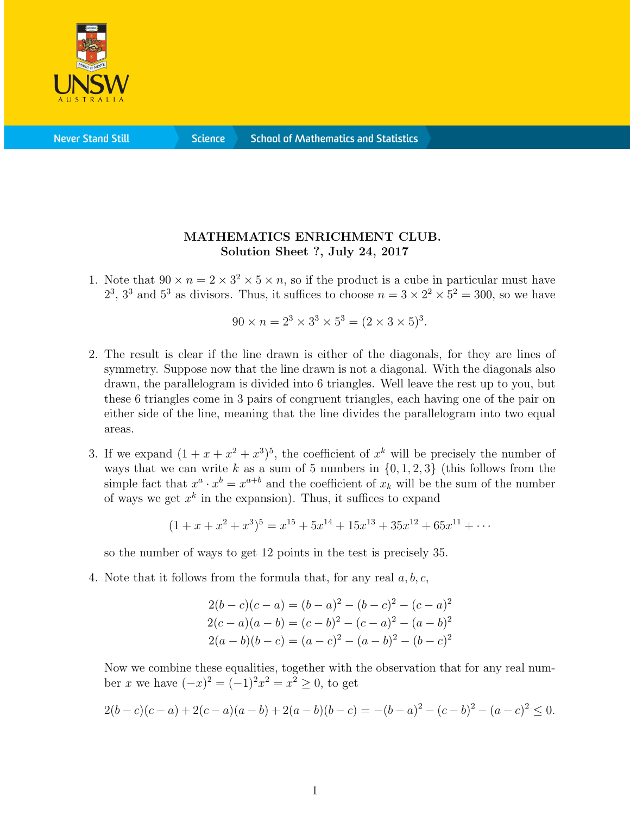

**Never Stand Still** 

**Science** 

## MATHEMATICS ENRICHMENT CLUB. Solution Sheet ?, July 24, 2017

1. Note that  $90 \times n = 2 \times 3^2 \times 5 \times n$ , so if the product is a cube in particular must have  $2^3$ ,  $3^3$  and  $5^3$  as divisors. Thus, it suffices to choose  $n = 3 \times 2^2 \times 5^2 = 300$ , so we have

$$
90 \times n = 2^3 \times 3^3 \times 5^3 = (2 \times 3 \times 5)^3.
$$

- 2. The result is clear if the line drawn is either of the diagonals, for they are lines of symmetry. Suppose now that the line drawn is not a diagonal. With the diagonals also drawn, the parallelogram is divided into 6 triangles. Well leave the rest up to you, but these 6 triangles come in 3 pairs of congruent triangles, each having one of the pair on either side of the line, meaning that the line divides the parallelogram into two equal areas.
- 3. If we expand  $(1 + x + x^2 + x^3)^5$ , the coefficient of  $x^k$  will be precisely the number of ways that we can write k as a sum of 5 numbers in  $\{0, 1, 2, 3\}$  (this follows from the simple fact that  $x^a \cdot x^b = x^{a+b}$  and the coefficient of  $x_k$  will be the sum of the number of ways we get  $x^k$  in the expansion). Thus, it suffices to expand

$$
(1+x+x^2+x^3)^5 = x^{15} + 5x^{14} + 15x^{13} + 35x^{12} + 65x^{11} + \cdots
$$

so the number of ways to get 12 points in the test is precisely 35.

4. Note that it follows from the formula that, for any real  $a, b, c$ ,

$$
2(b - c)(c - a) = (b - a)^2 - (b - c)^2 - (c - a)^2
$$
  
\n
$$
2(c - a)(a - b) = (c - b)^2 - (c - a)^2 - (a - b)^2
$$
  
\n
$$
2(a - b)(b - c) = (a - c)^2 - (a - b)^2 - (b - c)^2
$$

Now we combine these equalities, together with the observation that for any real number x we have  $(-x)^2 = (-1)^2 x^2 = x^2 \ge 0$ , to get

$$
2(b-c)(c-a) + 2(c-a)(a-b) + 2(a-b)(b-c) = -(b-a)^2 - (c-b)^2 - (a-c)^2 \le 0.
$$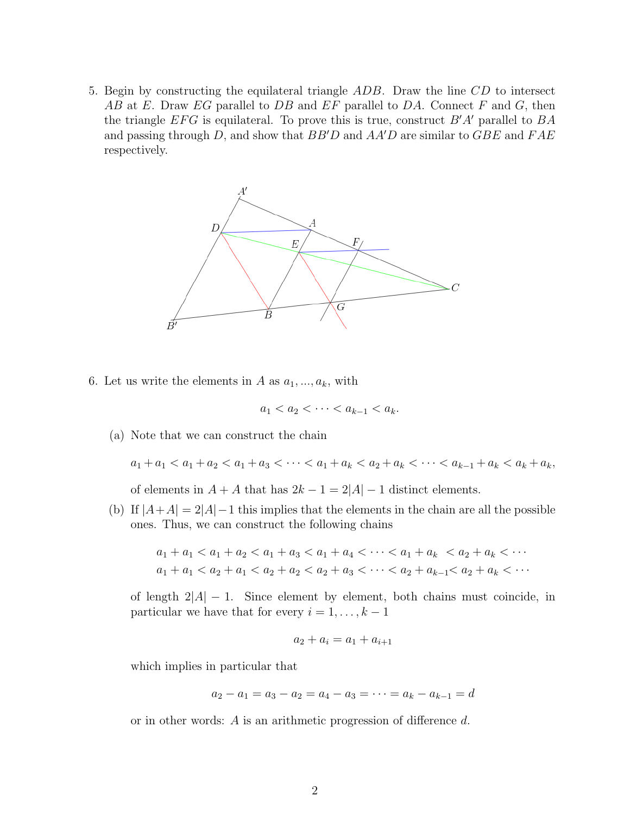5. Begin by constructing the equilateral triangle ADB. Draw the line CD to intersect AB at E. Draw EG parallel to DB and EF parallel to DA. Connect F and G, then the triangle  $EFG$  is equilateral. To prove this is true, construct  $B'A'$  parallel to  $BA$ and passing through D, and show that  $BB'D$  and  $AA'D$  are similar to  $GBE$  and  $FAE$ respectively.



6. Let us write the elements in A as  $a_1, \ldots, a_k$ , with

$$
a_1 < a_2 < \cdots < a_{k-1} < a_k.
$$

(a) Note that we can construct the chain

 $a_1 + a_1 < a_1 + a_2 < a_1 + a_3 < \cdots < a_1 + a_k < a_2 + a_k < \cdots < a_{k-1} + a_k < a_k + a_k$ 

of elements in  $A + A$  that has  $2k - 1 = 2|A| - 1$  distinct elements.

(b) If  $|A+A|=2|A|-1$  this implies that the elements in the chain are all the possible ones. Thus, we can construct the following chains

$$
a_1 + a_1 < a_1 + a_2 < a_1 + a_3 < a_1 + a_4 < \cdots < a_1 + a_k < a_2 + a_k < \cdots
$$
\n
$$
a_1 + a_1 < a_2 + a_1 < a_2 + a_2 < a_2 + a_3 < \cdots < a_2 + a_{k-1} < a_2 + a_k < \cdots
$$

of length  $2|A| - 1$ . Since element by element, both chains must coincide, in particular we have that for every  $i = 1, \ldots, k - 1$ 

$$
a_2 + a_i = a_1 + a_{i+1}
$$

which implies in particular that

$$
a_2 - a_1 = a_3 - a_2 = a_4 - a_3 = \dots = a_k - a_{k-1} = d
$$

or in other words: A is an arithmetic progression of difference d.